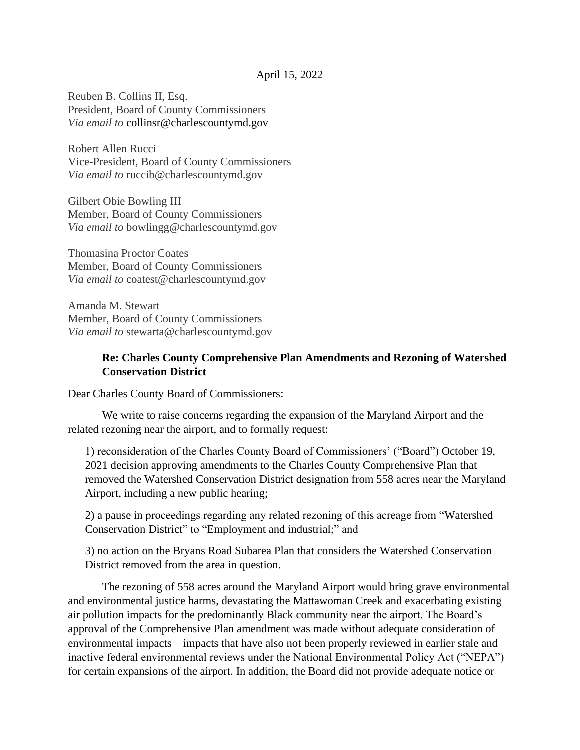Reuben B. Collins II, Esq. President, Board of County Commissioners *Via email to* collinsr@charlescountymd.gov

Robert Allen Rucci Vice-President, Board of County Commissioners *Via email to* ruccib@charlescountymd.gov

Gilbert Obie Bowling III Member, Board of County Commissioners *Via email to* bowlingg@charlescountymd.gov

Thomasina Proctor Coates Member, Board of County Commissioners *Via email to* coatest@charlescountymd.gov

Amanda M. Stewart Member, Board of County Commissioners *Via email to* stewarta@charlescountymd.gov

## **Re: Charles County Comprehensive Plan Amendments and Rezoning of Watershed Conservation District**

Dear Charles County Board of Commissioners:

We write to raise concerns regarding the expansion of the Maryland Airport and the related rezoning near the airport, and to formally request:

1) reconsideration of the Charles County Board of Commissioners' ("Board") October 19, 2021 decision approving amendments to the Charles County Comprehensive Plan that removed the Watershed Conservation District designation from 558 acres near the Maryland Airport, including a new public hearing;

2) a pause in proceedings regarding any related rezoning of this acreage from "Watershed Conservation District" to "Employment and industrial;" and

3) no action on the Bryans Road Subarea Plan that considers the Watershed Conservation District removed from the area in question.

The rezoning of 558 acres around the Maryland Airport would bring grave environmental and environmental justice harms, devastating the Mattawoman Creek and exacerbating existing air pollution impacts for the predominantly Black community near the airport. The Board's approval of the Comprehensive Plan amendment was made without adequate consideration of environmental impacts—impacts that have also not been properly reviewed in earlier stale and inactive federal environmental reviews under the National Environmental Policy Act ("NEPA") for certain expansions of the airport. In addition, the Board did not provide adequate notice or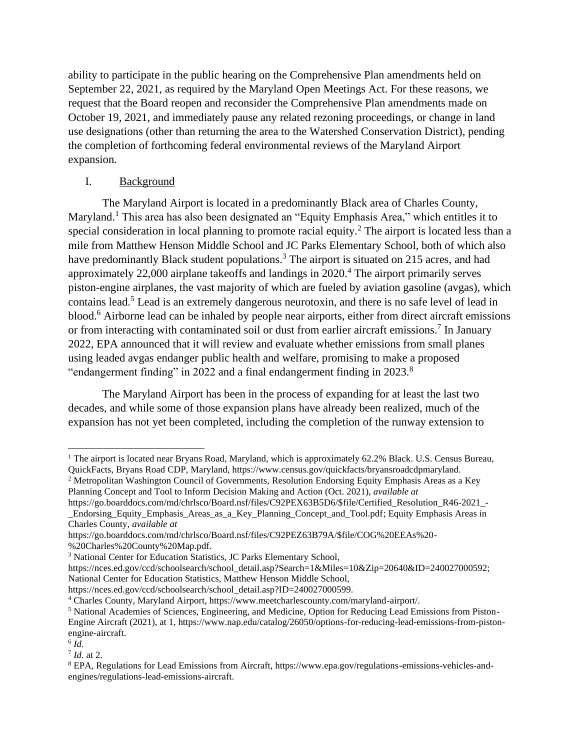ability to participate in the public hearing on the Comprehensive Plan amendments held on September 22, 2021, as required by the Maryland Open Meetings Act. For these reasons, we request that the Board reopen and reconsider the Comprehensive Plan amendments made on October 19, 2021, and immediately pause any related rezoning proceedings, or change in land use designations (other than returning the area to the Watershed Conservation District), pending the completion of forthcoming federal environmental reviews of the Maryland Airport expansion.

## I. Background

The Maryland Airport is located in a predominantly Black area of Charles County, Maryland.<sup>1</sup> This area has also been designated an "Equity Emphasis Area," which entitles it to special consideration in local planning to promote racial equity.<sup>2</sup> The airport is located less than a mile from Matthew Henson Middle School and JC Parks Elementary School, both of which also have predominantly Black student populations.<sup>3</sup> The airport is situated on 215 acres, and had approximately  $22,000$  airplane takeoffs and landings in  $2020<sup>4</sup>$ . The airport primarily serves piston-engine airplanes, the vast majority of which are fueled by aviation gasoline (avgas), which contains lead.<sup>5</sup> Lead is an extremely dangerous neurotoxin, and there is no safe level of lead in blood.<sup>6</sup> Airborne lead can be inhaled by people near airports, either from direct aircraft emissions or from interacting with contaminated soil or dust from earlier aircraft emissions.<sup>7</sup> In January 2022, EPA announced that it will review and evaluate whether emissions from small planes using leaded avgas endanger public health and welfare, promising to make a proposed "endangerment finding" in 2022 and a final endangerment finding in 2023.<sup>8</sup>

The Maryland Airport has been in the process of expanding for at least the last two decades, and while some of those expansion plans have already been realized, much of the expansion has not yet been completed, including the completion of the runway extension to

<sup>2</sup> Metropolitan Washington Council of Governments, Resolution Endorsing Equity Emphasis Areas as a Key Planning Concept and Tool to Inform Decision Making and Action (Oct. 2021), *available at*

https://go.boarddocs.com/md/chrlsco/Board.nsf/files/C92PEX63B5D6/\$file/Certified\_Resolution\_R46-2021\_-\_Endorsing\_Equity\_Emphasis\_Areas\_as\_a\_Key\_Planning\_Concept\_and\_Tool.pdf; Equity Emphasis Areas in Charles County, *available at*

https://nces.ed.gov/ccd/schoolsearch/school\_detail.asp?Search=1&Miles=10&Zip=20640&ID=240027000592; National Center for Education Statistics, Matthew Henson Middle School,

https://nces.ed.gov/ccd/schoolsearch/school\_detail.asp?ID=240027000599.

6 *Id*.

7 *Id*. at 2.

<sup>&</sup>lt;sup>1</sup> The airport is located near Bryans Road, Maryland, which is approximately 62.2% Black. U.S. Census Bureau, QuickFacts, Bryans Road CDP, Maryland, https://www.census.gov/quickfacts/bryansroadcdpmaryland.

https://go.boarddocs.com/md/chrlsco/Board.nsf/files/C92PEZ63B79A/\$file/COG%20EEAs%20- %20Charles%20County%20Map.pdf.

<sup>&</sup>lt;sup>3</sup> National Center for Education Statistics, JC Parks Elementary School,

<sup>4</sup> Charles County, Maryland Airport, https://www.meetcharlescounty.com/maryland-airport/.

<sup>5</sup> National Academies of Sciences, Engineering, and Medicine, Option for Reducing Lead Emissions from Piston-Engine Aircraft (2021), at 1, https://www.nap.edu/catalog/26050/options-for-reducing-lead-emissions-from-pistonengine-aircraft.

<sup>8</sup> EPA, Regulations for Lead Emissions from Aircraft, https://www.epa.gov/regulations-emissions-vehicles-andengines/regulations-lead-emissions-aircraft.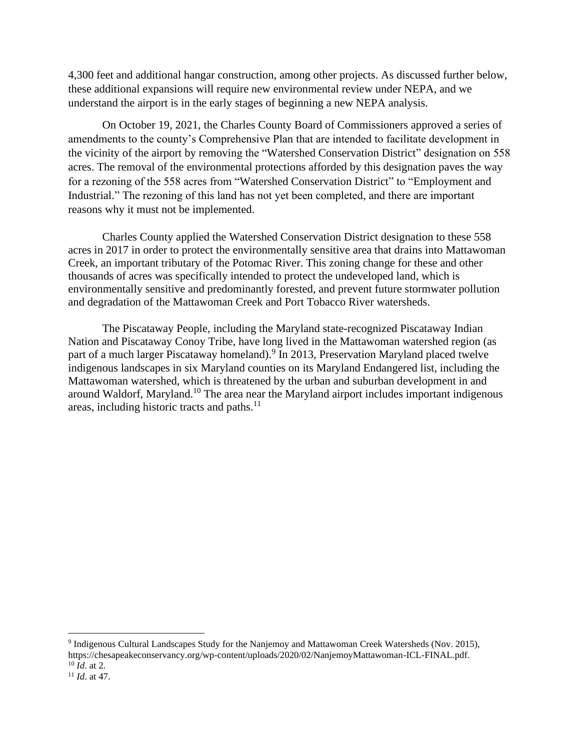4,300 feet and additional hangar construction, among other projects. As discussed further below, these additional expansions will require new environmental review under NEPA, and we understand the airport is in the early stages of beginning a new NEPA analysis.

On October 19, 2021, the Charles County Board of Commissioners approved a series of amendments to the county's Comprehensive Plan that are intended to facilitate development in the vicinity of the airport by removing the "Watershed Conservation District" designation on 558 acres. The removal of the environmental protections afforded by this designation paves the way for a rezoning of the 558 acres from "Watershed Conservation District" to "Employment and Industrial." The rezoning of this land has not yet been completed, and there are important reasons why it must not be implemented.

Charles County applied the Watershed Conservation District designation to these 558 acres in 2017 in order to protect the environmentally sensitive area that drains into Mattawoman Creek, an important tributary of the Potomac River. This zoning change for these and other thousands of acres was specifically intended to protect the undeveloped land, which is environmentally sensitive and predominantly forested, and prevent future stormwater pollution and degradation of the Mattawoman Creek and Port Tobacco River watersheds.

The Piscataway People, including the Maryland state-recognized Piscataway Indian Nation and Piscataway Conoy Tribe, have long lived in the Mattawoman watershed region (as part of a much larger Piscataway homeland).<sup>9</sup> In 2013, Preservation Maryland placed twelve indigenous landscapes in six Maryland counties on its Maryland Endangered list, including the Mattawoman watershed, which is threatened by the urban and suburban development in and around Waldorf, Maryland.<sup>10</sup> The area near the Maryland airport includes important indigenous areas, including historic tracts and paths.<sup>11</sup>

<sup>&</sup>lt;sup>9</sup> Indigenous Cultural Landscapes Study for the Nanjemoy and Mattawoman Creek Watersheds (Nov. 2015), https://chesapeakeconservancy.org/wp-content/uploads/2020/02/NanjemoyMattawoman-ICL-FINAL.pdf. <sup>10</sup> *Id*. at 2.

<sup>11</sup> *Id*. at 47.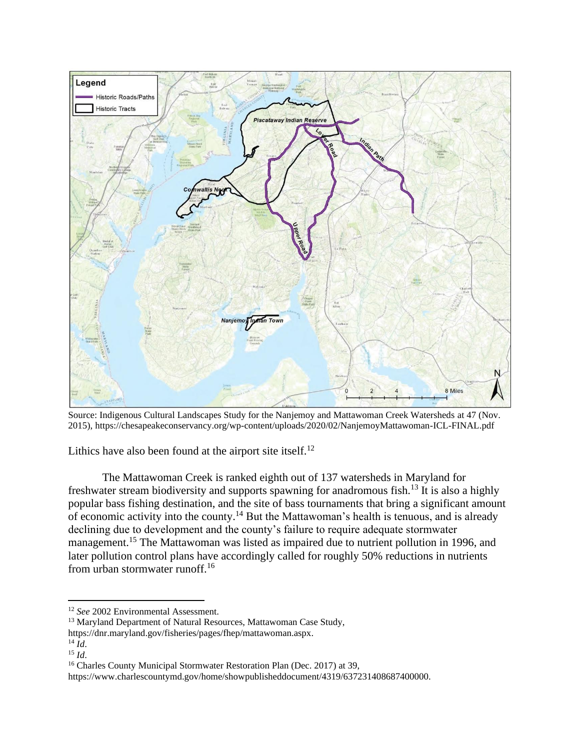

Source: Indigenous Cultural Landscapes Study for the Nanjemoy and Mattawoman Creek Watersheds at 47 (Nov. 2015), https://chesapeakeconservancy.org/wp-content/uploads/2020/02/NanjemoyMattawoman-ICL-FINAL.pdf

Lithics have also been found at the airport site itself.<sup>12</sup>

The Mattawoman Creek is ranked eighth out of 137 watersheds in Maryland for freshwater stream biodiversity and supports spawning for anadromous fish.<sup>13</sup> It is also a highly popular bass fishing destination, and the site of bass tournaments that bring a significant amount of economic activity into the county.<sup>14</sup> But the Mattawoman's health is tenuous, and is already declining due to development and the county's failure to require adequate stormwater management.<sup>15</sup> The Mattawoman was listed as impaired due to nutrient pollution in 1996, and later pollution control plans have accordingly called for roughly 50% reductions in nutrients from urban stormwater runoff.<sup>16</sup>

<sup>12</sup> *See* 2002 Environmental Assessment.

<sup>&</sup>lt;sup>13</sup> Maryland Department of Natural Resources, Mattawoman Case Study,

https://dnr.maryland.gov/fisheries/pages/fhep/mattawoman.aspx.

 $^{14}$   $\tilde{I}$ *d*.

<sup>15</sup> *Id*.

<sup>&</sup>lt;sup>16</sup> Charles County Municipal Stormwater Restoration Plan (Dec. 2017) at 39,

https://www.charlescountymd.gov/home/showpublisheddocument/4319/637231408687400000.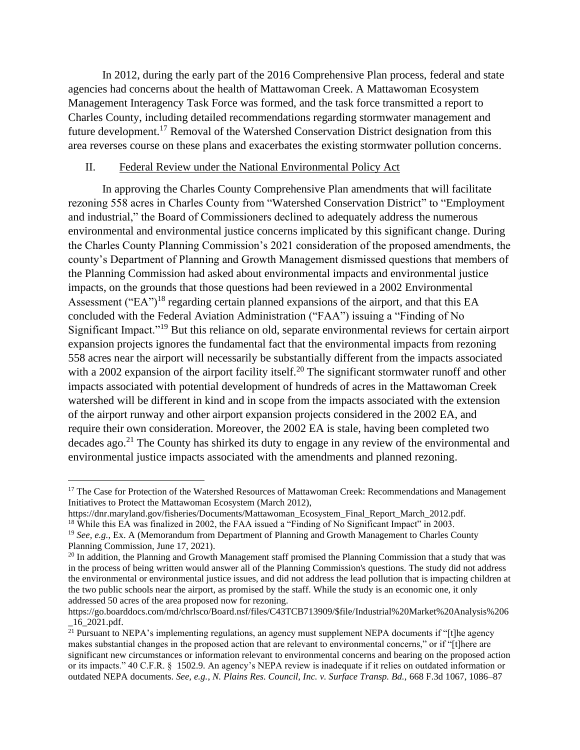In 2012, during the early part of the 2016 Comprehensive Plan process, federal and state agencies had concerns about the health of Mattawoman Creek. A Mattawoman Ecosystem Management Interagency Task Force was formed, and the task force transmitted a report to Charles County, including detailed recommendations regarding stormwater management and future development.<sup>17</sup> Removal of the Watershed Conservation District designation from this area reverses course on these plans and exacerbates the existing stormwater pollution concerns.

## II. Federal Review under the National Environmental Policy Act

In approving the Charles County Comprehensive Plan amendments that will facilitate rezoning 558 acres in Charles County from "Watershed Conservation District" to "Employment and industrial," the Board of Commissioners declined to adequately address the numerous environmental and environmental justice concerns implicated by this significant change. During the Charles County Planning Commission's 2021 consideration of the proposed amendments, the county's Department of Planning and Growth Management dismissed questions that members of the Planning Commission had asked about environmental impacts and environmental justice impacts, on the grounds that those questions had been reviewed in a 2002 Environmental Assessment ("EA")<sup>18</sup> regarding certain planned expansions of the airport, and that this EA concluded with the Federal Aviation Administration ("FAA") issuing a "Finding of No Significant Impact."<sup>19</sup> But this reliance on old, separate environmental reviews for certain airport expansion projects ignores the fundamental fact that the environmental impacts from rezoning 558 acres near the airport will necessarily be substantially different from the impacts associated with a 2002 expansion of the airport facility itself.<sup>20</sup> The significant stormwater runoff and other impacts associated with potential development of hundreds of acres in the Mattawoman Creek watershed will be different in kind and in scope from the impacts associated with the extension of the airport runway and other airport expansion projects considered in the 2002 EA, and require their own consideration. Moreover, the 2002 EA is stale, having been completed two decades ago.<sup>21</sup> The County has shirked its duty to engage in any review of the environmental and environmental justice impacts associated with the amendments and planned rezoning.

<sup>&</sup>lt;sup>17</sup> The Case for Protection of the Watershed Resources of Mattawoman Creek: Recommendations and Management Initiatives to Protect the Mattawoman Ecosystem (March 2012),

https://dnr.maryland.gov/fisheries/Documents/Mattawoman\_Ecosystem\_Final\_Report\_March\_2012.pdf. <sup>18</sup> While this EA was finalized in 2002, the FAA issued a "Finding of No Significant Impact" in 2003.

<sup>19</sup> *See, e.g.*, Ex. A (Memorandum from Department of Planning and Growth Management to Charles County Planning Commission, June 17, 2021).

<sup>&</sup>lt;sup>20</sup> In addition, the Planning and Growth Management staff promised the Planning Commission that a study that was in the process of being written would answer all of the Planning Commission's questions. The study did not address the environmental or environmental justice issues, and did not address the lead pollution that is impacting children at the two public schools near the airport, as promised by the staff. While the study is an economic one, it only addressed 50 acres of the area proposed now for rezoning.

https://go.boarddocs.com/md/chrlsco/Board.nsf/files/C43TCB713909/\$file/Industrial%20Market%20Analysis%206 \_16\_2021.pdf.

 $\frac{20}{21}$  Pursuant to NEPA's implementing regulations, an agency must supplement NEPA documents if "[t]he agency makes substantial changes in the proposed action that are relevant to environmental concerns," or if "[t]here are significant new circumstances or information relevant to environmental concerns and bearing on the proposed action or its impacts." 40 C.F.R. § 1502.9. An agency's NEPA review is inadequate if it relies on outdated information or outdated NEPA documents. *See, e.g.*, *N. Plains Res. Council, Inc. v. Surface Transp. Bd.,* 668 F.3d 1067, 1086–87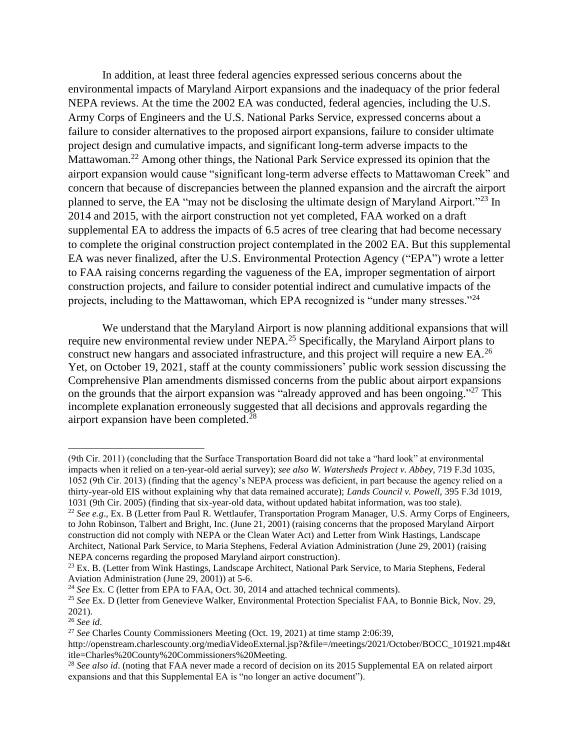In addition, at least three federal agencies expressed serious concerns about the environmental impacts of Maryland Airport expansions and the inadequacy of the prior federal NEPA reviews. At the time the 2002 EA was conducted, federal agencies, including the U.S. Army Corps of Engineers and the U.S. National Parks Service, expressed concerns about a failure to consider alternatives to the proposed airport expansions, failure to consider ultimate project design and cumulative impacts, and significant long-term adverse impacts to the Mattawoman.<sup>22</sup> Among other things, the National Park Service expressed its opinion that the airport expansion would cause "significant long-term adverse effects to Mattawoman Creek" and concern that because of discrepancies between the planned expansion and the aircraft the airport planned to serve, the EA "may not be disclosing the ultimate design of Maryland Airport."<sup>23</sup> In 2014 and 2015, with the airport construction not yet completed, FAA worked on a draft supplemental EA to address the impacts of 6.5 acres of tree clearing that had become necessary to complete the original construction project contemplated in the 2002 EA. But this supplemental EA was never finalized, after the U.S. Environmental Protection Agency ("EPA") wrote a letter to FAA raising concerns regarding the vagueness of the EA, improper segmentation of airport construction projects, and failure to consider potential indirect and cumulative impacts of the projects, including to the Mattawoman, which EPA recognized is "under many stresses."<sup>24</sup>

We understand that the Maryland Airport is now planning additional expansions that will require new environmental review under NEPA.<sup>25</sup> Specifically, the Maryland Airport plans to construct new hangars and associated infrastructure, and this project will require a new EA.<sup>26</sup> Yet, on October 19, 2021, staff at the county commissioners' public work session discussing the Comprehensive Plan amendments dismissed concerns from the public about airport expansions on the grounds that the airport expansion was "already approved and has been ongoing."<sup>27</sup> This incomplete explanation erroneously suggested that all decisions and approvals regarding the airport expansion have been completed.<sup>28</sup>

<sup>(9</sup>th Cir. 2011) (concluding that the Surface Transportation Board did not take a "hard look" at environmental impacts when it relied on a ten-year-old aerial survey); *see also W. Watersheds Project v. Abbey,* 719 F.3d 1035, 1052 (9th Cir. 2013) (finding that the agency's NEPA process was deficient, in part because the agency relied on a thirty-year-old EIS without explaining why that data remained accurate); *Lands Council v. Powell*, 395 F.3d 1019, 1031 (9th Cir. 2005) (finding that six-year-old data, without updated habitat information, was too stale).

<sup>22</sup> *See e.g*., Ex. B (Letter from Paul R. Wettlaufer, Transportation Program Manager, U.S. Army Corps of Engineers, to John Robinson, Talbert and Bright, Inc. (June 21, 2001) (raising concerns that the proposed Maryland Airport construction did not comply with NEPA or the Clean Water Act) and Letter from Wink Hastings, Landscape Architect, National Park Service, to Maria Stephens, Federal Aviation Administration (June 29, 2001) (raising NEPA concerns regarding the proposed Maryland airport construction).

<sup>&</sup>lt;sup>23</sup> Ex. B. (Letter from Wink Hastings, Landscape Architect, National Park Service, to Maria Stephens, Federal Aviation Administration (June 29, 2001)) at 5-6.

<sup>24</sup> *See* Ex. C (letter from EPA to FAA, Oct. 30, 2014 and attached technical comments).

<sup>25</sup> *See* Ex. D (letter from Genevieve Walker, Environmental Protection Specialist FAA, to Bonnie Bick, Nov. 29, 2021).

<sup>26</sup> *See id*.

<sup>27</sup> *See* Charles County Commissioners Meeting (Oct. 19, 2021) at time stamp 2:06:39,

http://openstream.charlescounty.org/mediaVideoExternal.jsp?&file=/meetings/2021/October/BOCC\_101921.mp4&t itle=Charles%20County%20Commissioners%20Meeting.

<sup>&</sup>lt;sup>28</sup> See also id. (noting that FAA never made a record of decision on its 2015 Supplemental EA on related airport expansions and that this Supplemental EA is "no longer an active document").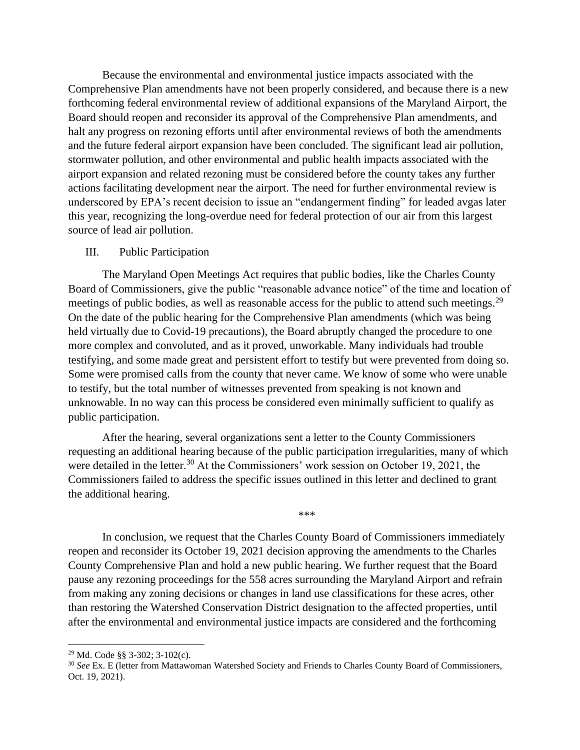Because the environmental and environmental justice impacts associated with the Comprehensive Plan amendments have not been properly considered, and because there is a new forthcoming federal environmental review of additional expansions of the Maryland Airport, the Board should reopen and reconsider its approval of the Comprehensive Plan amendments, and halt any progress on rezoning efforts until after environmental reviews of both the amendments and the future federal airport expansion have been concluded. The significant lead air pollution, stormwater pollution, and other environmental and public health impacts associated with the airport expansion and related rezoning must be considered before the county takes any further actions facilitating development near the airport. The need for further environmental review is underscored by EPA's recent decision to issue an "endangerment finding" for leaded avgas later this year, recognizing the long-overdue need for federal protection of our air from this largest source of lead air pollution.

## III. Public Participation

The Maryland Open Meetings Act requires that public bodies, like the Charles County Board of Commissioners, give the public "reasonable advance notice" of the time and location of meetings of public bodies, as well as reasonable access for the public to attend such meetings.<sup>29</sup> On the date of the public hearing for the Comprehensive Plan amendments (which was being held virtually due to Covid-19 precautions), the Board abruptly changed the procedure to one more complex and convoluted, and as it proved, unworkable. Many individuals had trouble testifying, and some made great and persistent effort to testify but were prevented from doing so. Some were promised calls from the county that never came. We know of some who were unable to testify, but the total number of witnesses prevented from speaking is not known and unknowable. In no way can this process be considered even minimally sufficient to qualify as public participation.

After the hearing, several organizations sent a letter to the County Commissioners requesting an additional hearing because of the public participation irregularities, many of which were detailed in the letter.<sup>30</sup> At the Commissioners' work session on October 19, 2021, the Commissioners failed to address the specific issues outlined in this letter and declined to grant the additional hearing.

\*\*\*

In conclusion, we request that the Charles County Board of Commissioners immediately reopen and reconsider its October 19, 2021 decision approving the amendments to the Charles County Comprehensive Plan and hold a new public hearing. We further request that the Board pause any rezoning proceedings for the 558 acres surrounding the Maryland Airport and refrain from making any zoning decisions or changes in land use classifications for these acres, other than restoring the Watershed Conservation District designation to the affected properties, until after the environmental and environmental justice impacts are considered and the forthcoming

<sup>29</sup> Md. Code §§ 3-302; 3-102(c).

<sup>&</sup>lt;sup>30</sup> See Ex. E (letter from Mattawoman Watershed Society and Friends to Charles County Board of Commissioners, Oct. 19, 2021).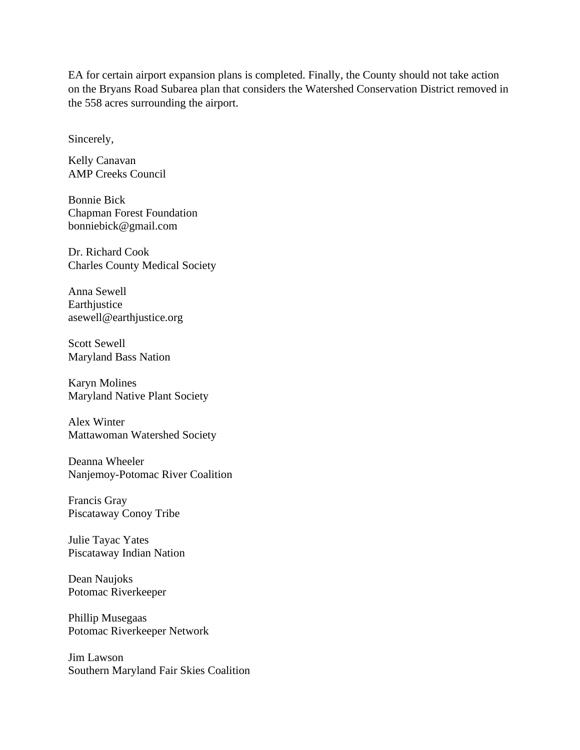EA for certain airport expansion plans is completed. Finally, the County should not take action on the Bryans Road Subarea plan that considers the Watershed Conservation District removed in the 558 acres surrounding the airport.

Sincerely,

Kelly Canavan AMP Creeks Council

Bonnie Bick Chapman Forest Foundation bonniebick@gmail.com

Dr. Richard Cook Charles County Medical Society

Anna Sewell Earthiustice asewell@earthjustice.org

Scott Sewell Maryland Bass Nation

Karyn Molines Maryland Native Plant Society

Alex Winter Mattawoman Watershed Society

Deanna Wheeler Nanjemoy-Potomac River Coalition

Francis Gray Piscataway Conoy Tribe

Julie Tayac Yates Piscataway Indian Nation

Dean Naujoks Potomac Riverkeeper

Phillip Musegaas Potomac Riverkeeper Network

Jim Lawson Southern Maryland Fair Skies Coalition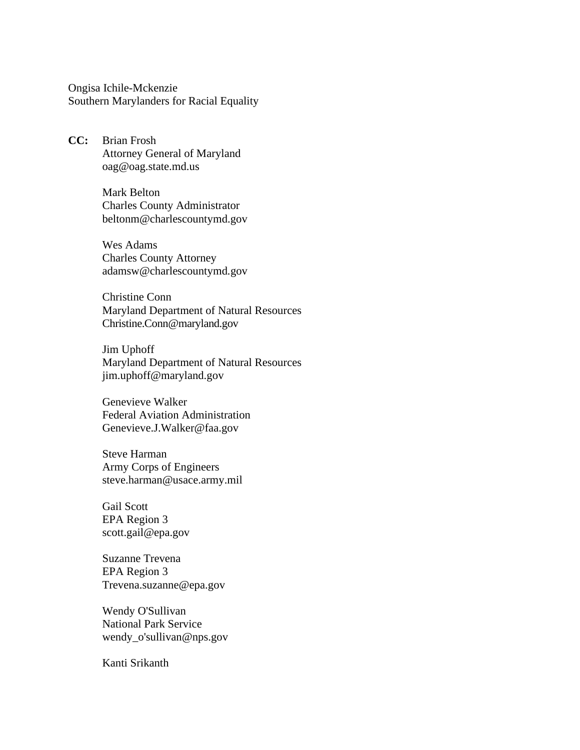Ongisa Ichile-Mckenzie Southern Marylanders for Racial Equality

**CC:** Brian Frosh Attorney General of Maryland oag@oag.state.md.us

> Mark Belton Charles County Administrator beltonm@charlescountymd.gov

> Wes Adams Charles County Attorney adamsw@charlescountymd*.*gov

Christine Conn Maryland Department of Natural Resources Christine.Conn@maryland.gov

Jim Uphoff Maryland Department of Natural Resources jim.uphoff@maryland.gov

Genevieve Walker Federal Aviation Administration Genevieve.J.Walker@faa.gov

Steve Harman Army Corps of Engineers steve.harman@usace.army.mil

Gail Scott EPA Region 3 scott.gail@epa.gov

Suzanne Trevena EPA Region 3 Trevena.suzanne@epa.gov

Wendy O'Sullivan National Park Service wendy\_o'sullivan@nps.gov

Kanti Srikanth